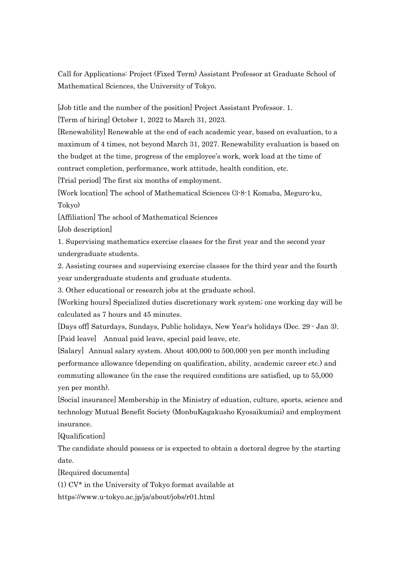Call for Applications: Project (Fixed Term) Assistant Professor at Graduate School of Mathematical Sciences, the University of Tokyo.

[Job title and the number of the position] Project Assistant Professor. 1.

[Term of hiring] October 1, 2022 to March 31, 2023.

[Renewability] Renewable at the end of each academic year, based on evaluation, to a maximum of 4 times, not beyond March 31, 2027. Renewability evaluation is based on the budget at the time, progress of the employee's work, work load at the time of contract completion, performance, work attitude, health condition, etc.

[Trial period] The first six months of employment.

[Work location] The school of Mathematical Sciences (3-8-1 Komaba, Meguro-ku, Tokyo)

[Affiliation] The school of Mathematical Sciences

[Job description]

1. Supervising mathematics exercise classes for the first year and the second year undergraduate students.

2. Assisting courses and supervising exercise classes for the third year and the fourth year undergraduate students and graduate students.

3. Other educational or research jobs at the graduate school.

[Working hours] Specialized duties discretionary work system; one working day will be calculated as 7 hours and 45 minutes.

[Days off] Saturdays, Sundays, Public holidays, New Year's holidays (Dec. 29 - Jan 3). [Paid leave] Annual paid leave, special paid leave, etc.

[Salary] Annual salary system. About 400,000 to 500,000 yen per month including performance allowance (depending on qualification, ability, academic career etc.) and commuting allowance (in the case the required conditions are satisfied, up to 55,000 yen per month).

[Social insurance] Membership in the Ministry of eduation, culture, sports, science and technology Mutual Benefit Society (MonbuKagakusho Kyosaikumiai) and employment insurance.

[Qualification]

The candidate should possess or is expected to obtain a doctoral degree by the starting date.

[Required documents]

(1) CV\* in the University of Tokyo format available at

https://www.u-tokyo.ac.jp/ja/about/jobs/r01.html